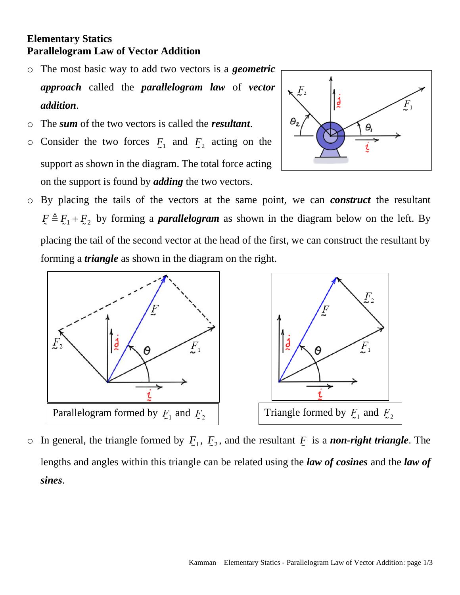## **Elementary Statics Parallelogram Law of Vector Addition**

- o The most basic way to add two vectors is a *geometric approach* called the *parallelogram law* of *vector addition*.
- o The *sum* of the two vectors is called the *resultant*.
- $\circ$  Consider the two forces  $F_1$  and  $F_2$  acting on the support as shown in the diagram. The total force acting on the support is found by *adding* the two vectors.



o By placing the tails of the vectors at the same point, we can *construct* the resultant  $F = E_1 + E_2$  by forming a *parallelogram* as shown in the diagram below on the left. By placing the tail of the second vector at the head of the first, we can construct the resultant by forming a *triangle* as shown in the diagram on the right.



 $\circ$  In general, the triangle formed by  $F_1, F_2$ , and the resultant  $F$  is a *non-right triangle*. The lengths and angles within this triangle can be related using the *law of cosines* and the *law of sines*.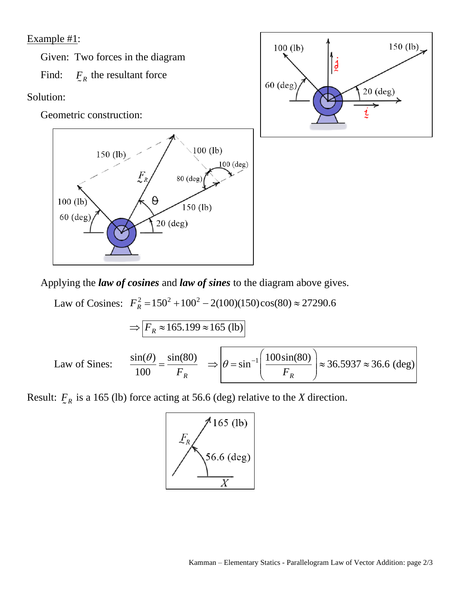Example #1:

Given: Two forces in the diagram

Find:  $F_R$  the resultant force

Solution:

Geometric construction:





Applying the *law of cosines* and *law of sines* to the diagram above gives.  
\nLaw of Cosines: 
$$
F_R^2 = 150^2 + 100^2 - 2(100)(150)\cos(80) \approx 27290.6
$$
  
\n
$$
\Rightarrow \boxed{F_R \approx 165.199 \approx 165 \text{ (lb)}}
$$
\nLaw of Sines: 
$$
\frac{\sin(\theta)}{100} = \frac{\sin(80)}{F_R} \Rightarrow \boxed{\theta = \sin^{-1}\left(\frac{100\sin(80)}{F_R}\right)} \approx 36.5937 \approx 36.6 \text{ (deg)}
$$

Result:  $F_{R}$  is a 165 (lb) force acting at 56.6 (deg) relative to the *X* direction.